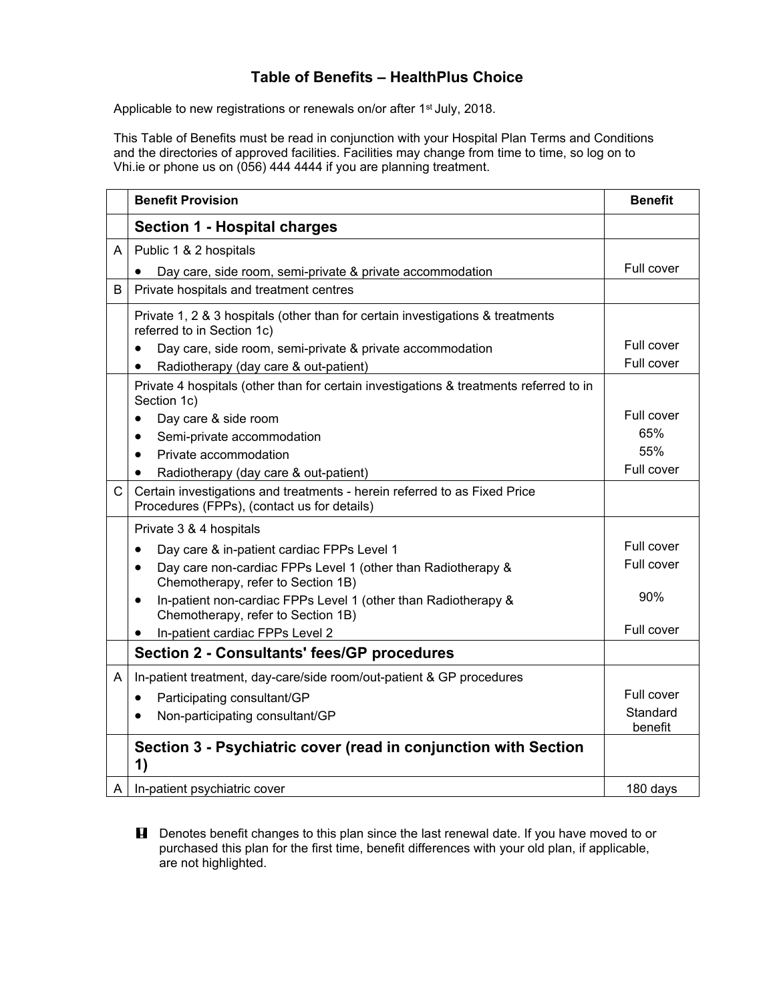## **Table of Benefits – HealthPlus Choice**

Applicable to new registrations or renewals on/or after 1<sup>st</sup> July, 2018.

This Table of Benefits must be read in conjunction with your Hospital Plan Terms and Conditions and the directories of approved facilities. Facilities may change from time to time, so log on to Vhi.ie or phone us on (056) 444 4444 if you are planning treatment.

|             | <b>Benefit Provision</b>                                                                                                 | <b>Benefit</b>      |
|-------------|--------------------------------------------------------------------------------------------------------------------------|---------------------|
|             | <b>Section 1 - Hospital charges</b>                                                                                      |                     |
| A           | Public 1 & 2 hospitals                                                                                                   |                     |
|             | Day care, side room, semi-private & private accommodation                                                                | Full cover          |
| B           | Private hospitals and treatment centres                                                                                  |                     |
|             | Private 1, 2 & 3 hospitals (other than for certain investigations & treatments<br>referred to in Section 1c)             |                     |
|             | Day care, side room, semi-private & private accommodation<br>$\bullet$                                                   | Full cover          |
|             | Radiotherapy (day care & out-patient)<br>$\bullet$                                                                       | Full cover          |
|             | Private 4 hospitals (other than for certain investigations & treatments referred to in<br>Section 1c)                    |                     |
|             | Day care & side room<br>$\bullet$                                                                                        | Full cover          |
|             | Semi-private accommodation<br>$\bullet$                                                                                  | 65%                 |
|             | Private accommodation<br>$\bullet$                                                                                       | 55%                 |
|             | Radiotherapy (day care & out-patient)<br>$\bullet$                                                                       | Full cover          |
| $\mathsf C$ | Certain investigations and treatments - herein referred to as Fixed Price<br>Procedures (FPPs), (contact us for details) |                     |
|             | Private 3 & 4 hospitals                                                                                                  |                     |
|             | Day care & in-patient cardiac FPPs Level 1<br>$\bullet$                                                                  | Full cover          |
|             | Day care non-cardiac FPPs Level 1 (other than Radiotherapy &<br>$\bullet$<br>Chemotherapy, refer to Section 1B)          | Full cover          |
|             | In-patient non-cardiac FPPs Level 1 (other than Radiotherapy &<br>$\bullet$<br>Chemotherapy, refer to Section 1B)        | 90%                 |
|             | In-patient cardiac FPPs Level 2<br>$\bullet$                                                                             | Full cover          |
|             | <b>Section 2 - Consultants' fees/GP procedures</b>                                                                       |                     |
| A           | In-patient treatment, day-care/side room/out-patient & GP procedures                                                     |                     |
|             | Participating consultant/GP<br>$\bullet$                                                                                 | Full cover          |
|             | Non-participating consultant/GP<br>٠                                                                                     | Standard<br>benefit |
|             | Section 3 - Psychiatric cover (read in conjunction with Section<br>1)                                                    |                     |
|             | $A \mid In$ -patient psychiatric cover                                                                                   | 180 days            |

**H** Denotes benefit changes to this plan since the last renewal date. If you have moved to or purchased this plan for the first time, benefit differences with your old plan, if applicable, are not highlighted.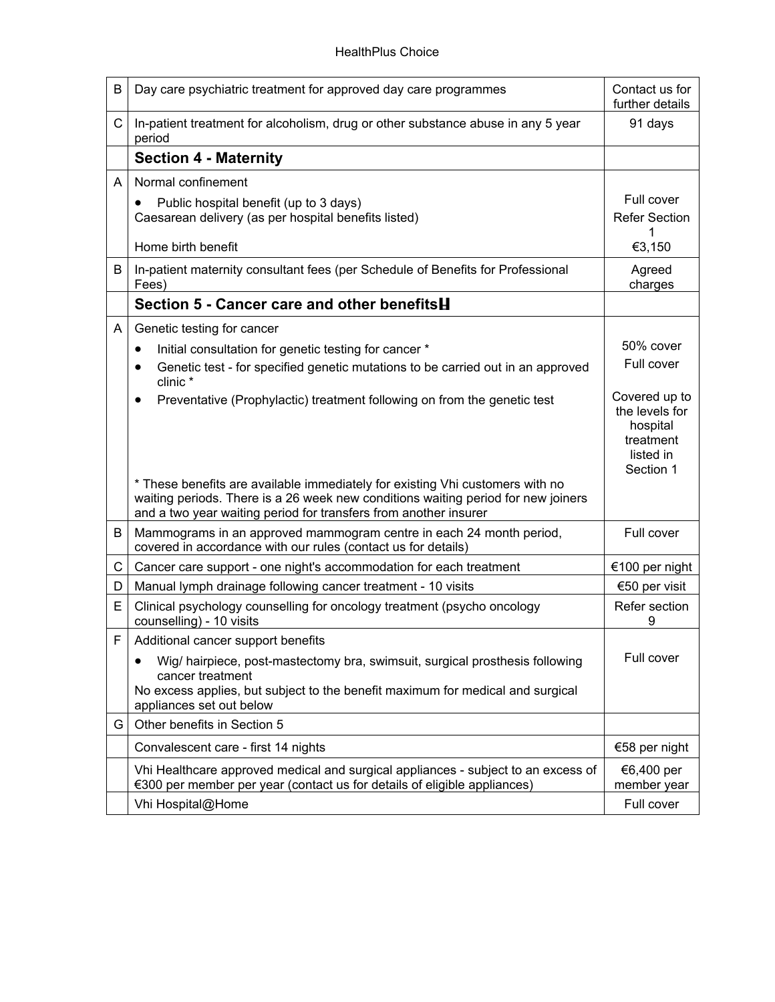| B | Day care psychiatric treatment for approved day care programmes                                                                                                                                                                        | Contact us for<br>further details                                                  |
|---|----------------------------------------------------------------------------------------------------------------------------------------------------------------------------------------------------------------------------------------|------------------------------------------------------------------------------------|
| C | In-patient treatment for alcoholism, drug or other substance abuse in any 5 year<br>period                                                                                                                                             | 91 days                                                                            |
|   | <b>Section 4 - Maternity</b>                                                                                                                                                                                                           |                                                                                    |
| A | Normal confinement                                                                                                                                                                                                                     |                                                                                    |
|   | Public hospital benefit (up to 3 days)<br>٠<br>Caesarean delivery (as per hospital benefits listed)                                                                                                                                    | Full cover<br><b>Refer Section</b><br>1                                            |
|   | Home birth benefit                                                                                                                                                                                                                     | €3,150                                                                             |
| В | In-patient maternity consultant fees (per Schedule of Benefits for Professional<br>Fees)                                                                                                                                               | Agreed<br>charges                                                                  |
|   | Section 5 - Cancer care and other benefits <b>H</b>                                                                                                                                                                                    |                                                                                    |
| A | Genetic testing for cancer                                                                                                                                                                                                             |                                                                                    |
|   | Initial consultation for genetic testing for cancer *<br>٠                                                                                                                                                                             | 50% cover                                                                          |
|   | Genetic test - for specified genetic mutations to be carried out in an approved<br>$\bullet$<br>clinic *                                                                                                                               | Full cover                                                                         |
|   | Preventative (Prophylactic) treatment following on from the genetic test<br>٠                                                                                                                                                          | Covered up to<br>the levels for<br>hospital<br>treatment<br>listed in<br>Section 1 |
|   | * These benefits are available immediately for existing Vhi customers with no<br>waiting periods. There is a 26 week new conditions waiting period for new joiners<br>and a two year waiting period for transfers from another insurer |                                                                                    |
| B | Mammograms in an approved mammogram centre in each 24 month period,<br>covered in accordance with our rules (contact us for details)                                                                                                   | Full cover                                                                         |
| C | Cancer care support - one night's accommodation for each treatment                                                                                                                                                                     | €100 per night                                                                     |
| D | Manual lymph drainage following cancer treatment - 10 visits                                                                                                                                                                           | €50 per visit                                                                      |
| E | Clinical psychology counselling for oncology treatment (psycho oncology<br>counselling) - 10 visits                                                                                                                                    | Refer section<br>9                                                                 |
| F | Additional cancer support benefits                                                                                                                                                                                                     |                                                                                    |
|   | Wig/ hairpiece, post-mastectomy bra, swimsuit, surgical prosthesis following<br>cancer treatment<br>No excess applies, but subject to the benefit maximum for medical and surgical<br>appliances set out below                         | Full cover                                                                         |
| G | Other benefits in Section 5                                                                                                                                                                                                            |                                                                                    |
|   | Convalescent care - first 14 nights                                                                                                                                                                                                    | €58 per night                                                                      |
|   | Vhi Healthcare approved medical and surgical appliances - subject to an excess of<br>€300 per member per year (contact us for details of eligible appliances)                                                                          | €6,400 per<br>member year                                                          |
|   | Vhi Hospital@Home                                                                                                                                                                                                                      | Full cover                                                                         |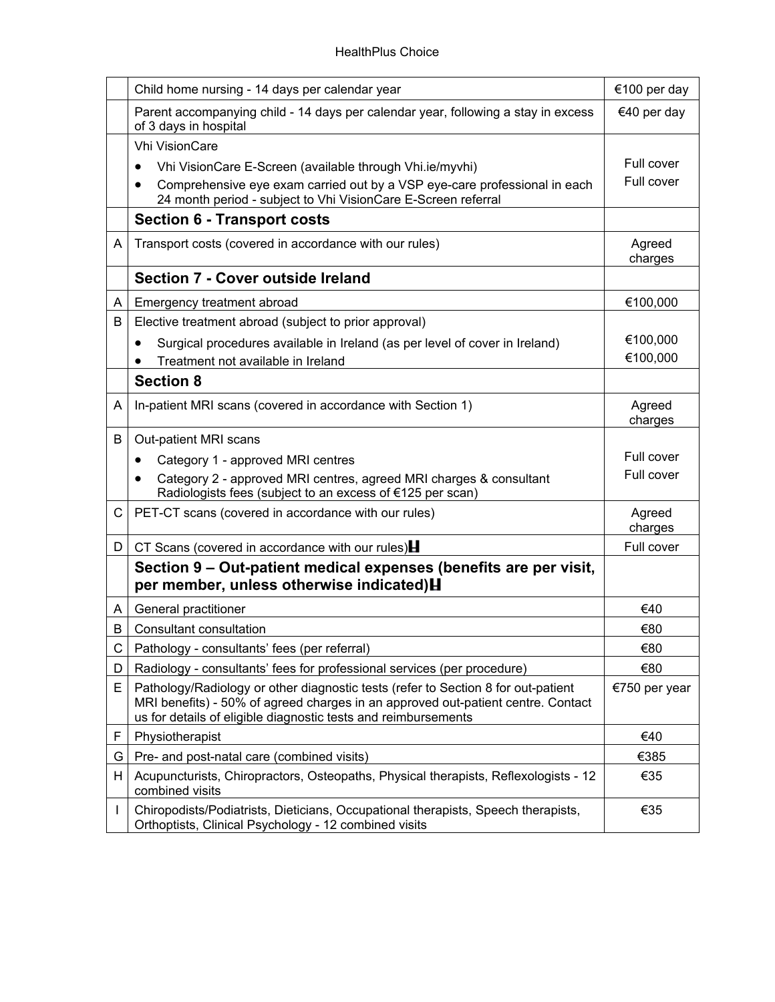|    | Child home nursing - 14 days per calendar year                                                                                                                                                                                          | €100 per day      |
|----|-----------------------------------------------------------------------------------------------------------------------------------------------------------------------------------------------------------------------------------------|-------------------|
|    | Parent accompanying child - 14 days per calendar year, following a stay in excess<br>of 3 days in hospital                                                                                                                              | €40 per day       |
|    | <b>Vhi VisionCare</b>                                                                                                                                                                                                                   |                   |
|    | Vhi VisionCare E-Screen (available through Vhi.ie/myvhi)                                                                                                                                                                                | Full cover        |
|    | Comprehensive eye exam carried out by a VSP eye-care professional in each<br>٠<br>24 month period - subject to Vhi VisionCare E-Screen referral                                                                                         | Full cover        |
|    | <b>Section 6 - Transport costs</b>                                                                                                                                                                                                      |                   |
| A  | Transport costs (covered in accordance with our rules)                                                                                                                                                                                  | Agreed<br>charges |
|    | Section 7 - Cover outside Ireland                                                                                                                                                                                                       |                   |
| A  | Emergency treatment abroad                                                                                                                                                                                                              | €100,000          |
| B  | Elective treatment abroad (subject to prior approval)                                                                                                                                                                                   |                   |
|    | Surgical procedures available in Ireland (as per level of cover in Ireland)<br>$\bullet$                                                                                                                                                | €100,000          |
|    | Treatment not available in Ireland                                                                                                                                                                                                      | €100,000          |
|    | <b>Section 8</b>                                                                                                                                                                                                                        |                   |
| A  | In-patient MRI scans (covered in accordance with Section 1)                                                                                                                                                                             | Agreed<br>charges |
| B  | Out-patient MRI scans                                                                                                                                                                                                                   |                   |
|    | Category 1 - approved MRI centres<br>٠                                                                                                                                                                                                  | Full cover        |
|    | Category 2 - approved MRI centres, agreed MRI charges & consultant<br>Radiologists fees (subject to an excess of €125 per scan)                                                                                                         | Full cover        |
| C. | PET-CT scans (covered in accordance with our rules)                                                                                                                                                                                     | Agreed<br>charges |
| D  | CT Scans (covered in accordance with our rules) $\blacksquare$                                                                                                                                                                          | Full cover        |
|    | Section 9 – Out-patient medical expenses (benefits are per visit,<br>per member, unless otherwise indicated) H                                                                                                                          |                   |
| A  | General practitioner                                                                                                                                                                                                                    | €40               |
| B  | Consultant consultation                                                                                                                                                                                                                 | €80               |
| С  | Pathology - consultants' fees (per referral)                                                                                                                                                                                            | €80               |
| D  | Radiology - consultants' fees for professional services (per procedure)                                                                                                                                                                 | €80               |
| E. | Pathology/Radiology or other diagnostic tests (refer to Section 8 for out-patient<br>MRI benefits) - 50% of agreed charges in an approved out-patient centre. Contact<br>us for details of eligible diagnostic tests and reimbursements | €750 per year     |
| F  | Physiotherapist                                                                                                                                                                                                                         | €40               |
| G  | Pre- and post-natal care (combined visits)                                                                                                                                                                                              | €385              |
| H  | Acupuncturists, Chiropractors, Osteopaths, Physical therapists, Reflexologists - 12<br>combined visits                                                                                                                                  | €35               |
|    | Chiropodists/Podiatrists, Dieticians, Occupational therapists, Speech therapists,<br>Orthoptists, Clinical Psychology - 12 combined visits                                                                                              | €35               |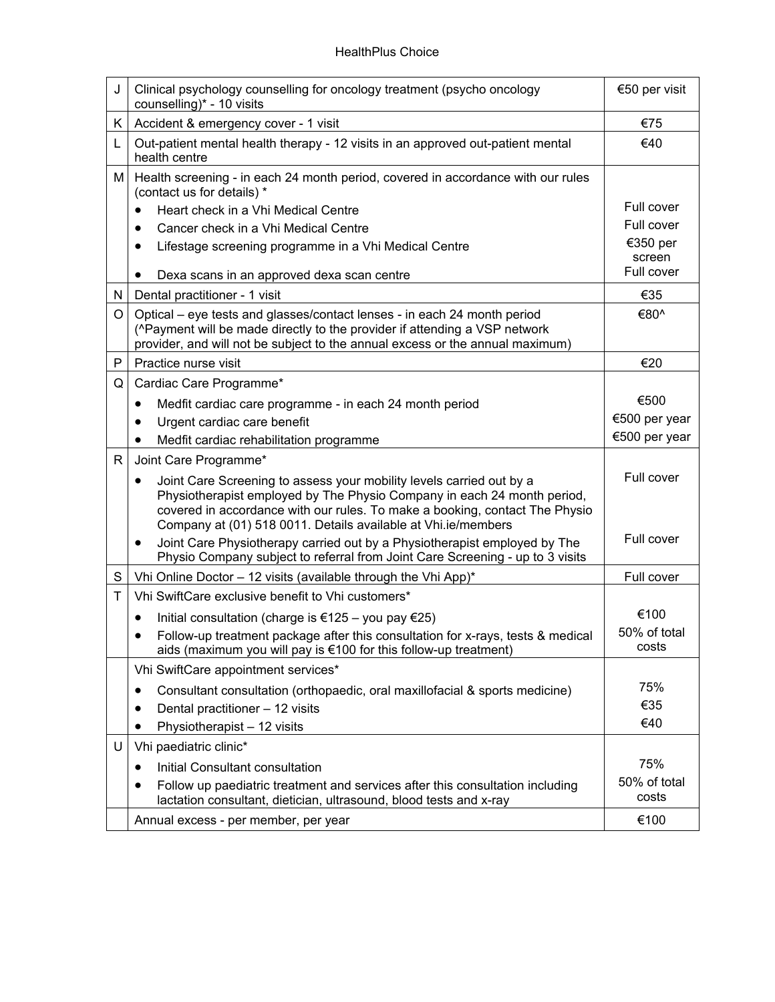| J | Clinical psychology counselling for oncology treatment (psycho oncology<br>counselling)* - 10 visits                                                                                                                                                                                                         | €50 per visit         |
|---|--------------------------------------------------------------------------------------------------------------------------------------------------------------------------------------------------------------------------------------------------------------------------------------------------------------|-----------------------|
| Κ | Accident & emergency cover - 1 visit                                                                                                                                                                                                                                                                         | €75                   |
| L | Out-patient mental health therapy - 12 visits in an approved out-patient mental<br>health centre                                                                                                                                                                                                             | €40                   |
| Μ | Health screening - in each 24 month period, covered in accordance with our rules<br>(contact us for details) *                                                                                                                                                                                               | Full cover            |
|   | Heart check in a Vhi Medical Centre<br>$\bullet$                                                                                                                                                                                                                                                             | Full cover            |
|   | Cancer check in a Vhi Medical Centre<br>$\bullet$                                                                                                                                                                                                                                                            | €350 per              |
|   | Lifestage screening programme in a Vhi Medical Centre                                                                                                                                                                                                                                                        | screen                |
|   | Dexa scans in an approved dexa scan centre                                                                                                                                                                                                                                                                   | Full cover            |
| Ν | Dental practitioner - 1 visit                                                                                                                                                                                                                                                                                | €35                   |
| O | Optical – eye tests and glasses/contact lenses - in each 24 month period<br>(^Payment will be made directly to the provider if attending a VSP network<br>provider, and will not be subject to the annual excess or the annual maximum)                                                                      | €80^                  |
| P | Practice nurse visit                                                                                                                                                                                                                                                                                         | €20                   |
| Q | Cardiac Care Programme*                                                                                                                                                                                                                                                                                      |                       |
|   | Medfit cardiac care programme - in each 24 month period<br>$\bullet$                                                                                                                                                                                                                                         | €500                  |
|   | Urgent cardiac care benefit<br>$\bullet$                                                                                                                                                                                                                                                                     | €500 per year         |
|   | Medfit cardiac rehabilitation programme<br>$\bullet$                                                                                                                                                                                                                                                         | €500 per year         |
| R | Joint Care Programme*                                                                                                                                                                                                                                                                                        |                       |
|   | Joint Care Screening to assess your mobility levels carried out by a<br>$\bullet$<br>Physiotherapist employed by The Physio Company in each 24 month period,<br>covered in accordance with our rules. To make a booking, contact The Physio<br>Company at (01) 518 0011. Details available at Vhi.ie/members | Full cover            |
|   | Joint Care Physiotherapy carried out by a Physiotherapist employed by The<br>٠<br>Physio Company subject to referral from Joint Care Screening - up to 3 visits                                                                                                                                              | Full cover            |
| S | Vhi Online Doctor - 12 visits (available through the Vhi App)*                                                                                                                                                                                                                                               | Full cover            |
| T | Vhi SwiftCare exclusive benefit to Vhi customers*                                                                                                                                                                                                                                                            |                       |
|   | Initial consultation (charge is €125 – you pay €25)                                                                                                                                                                                                                                                          | €100                  |
|   | Follow-up treatment package after this consultation for x-rays, tests & medical<br>aids (maximum you will pay is €100 for this follow-up treatment)                                                                                                                                                          | 50% of total<br>costs |
|   | Vhi SwiftCare appointment services*                                                                                                                                                                                                                                                                          |                       |
|   | Consultant consultation (orthopaedic, oral maxillofacial & sports medicine)<br>$\bullet$                                                                                                                                                                                                                     | 75%                   |
|   | Dental practitioner - 12 visits                                                                                                                                                                                                                                                                              | €35                   |
|   | Physiotherapist - 12 visits<br>$\bullet$                                                                                                                                                                                                                                                                     | €40                   |
| U | Vhi paediatric clinic*                                                                                                                                                                                                                                                                                       |                       |
|   | Initial Consultant consultation                                                                                                                                                                                                                                                                              | 75%                   |
|   | Follow up paediatric treatment and services after this consultation including<br>lactation consultant, dietician, ultrasound, blood tests and x-ray                                                                                                                                                          | 50% of total<br>costs |
|   | Annual excess - per member, per year                                                                                                                                                                                                                                                                         | €100                  |